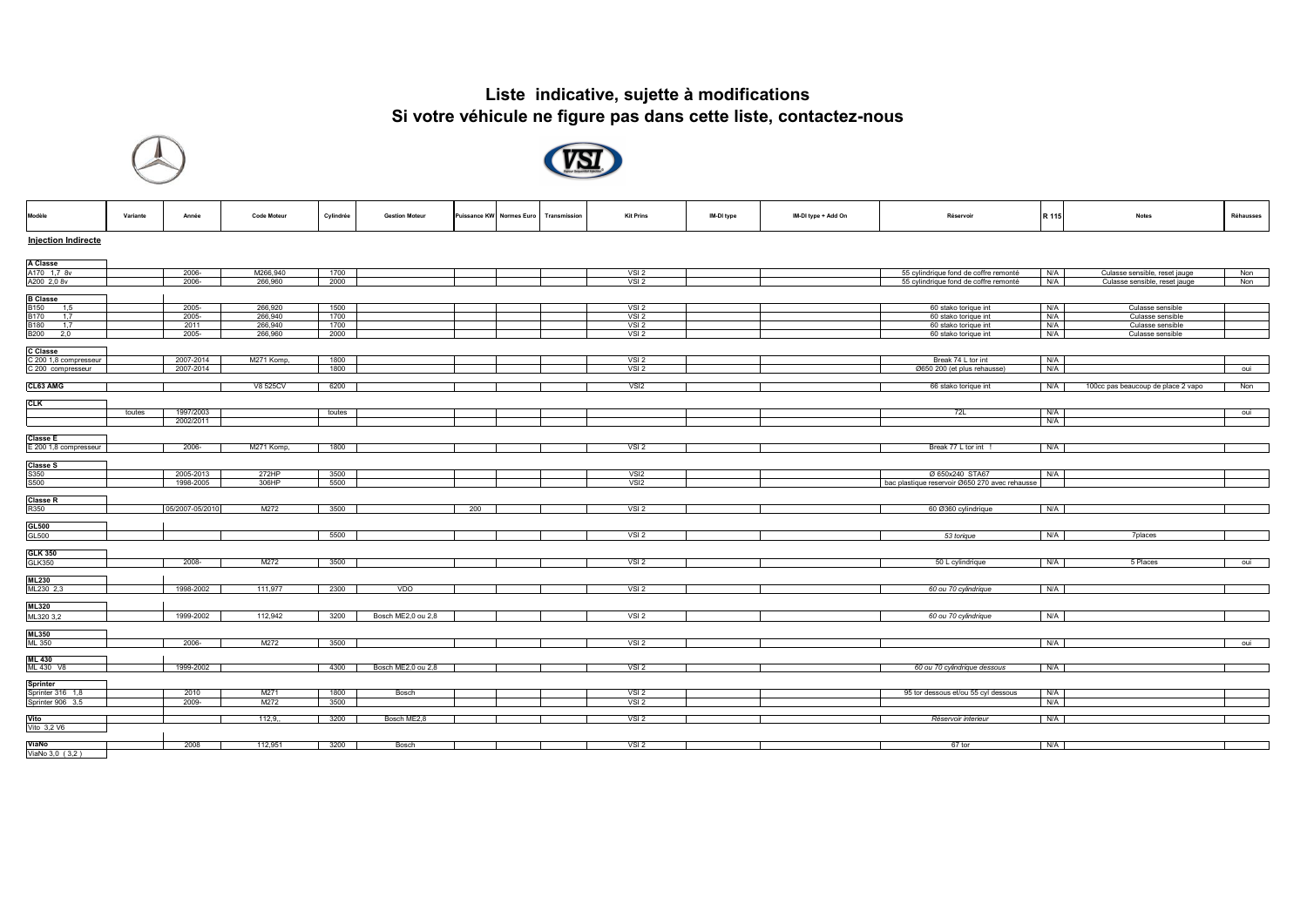## **Liste indicative, sujette à modifications Si votre véhicule ne figure pas dans cette liste, contactez-nous**





| Modèle                     | Variante | Année           | <b>Code Moteur</b> | Cylindrée | <b>Gestion Moteur</b> |     | Puissance KW Normes Euro | Transmission | <b>Kit Prins</b> | IM-DI type | IM-DI type + Add On | Réservoir                                      | R 115 | <b>Notes</b>                       | Réhausses |
|----------------------------|----------|-----------------|--------------------|-----------|-----------------------|-----|--------------------------|--------------|------------------|------------|---------------------|------------------------------------------------|-------|------------------------------------|-----------|
| <b>Injection Indirecte</b> |          |                 |                    |           |                       |     |                          |              |                  |            |                     |                                                |       |                                    |           |
| <b>A Classe</b>            |          |                 |                    |           |                       |     |                          |              |                  |            |                     |                                                |       |                                    |           |
|                            |          |                 | M266.940           | 1700      |                       |     |                          |              |                  |            |                     |                                                |       |                                    |           |
| A170 1,7 8v                |          | 2006-           |                    |           |                       |     |                          |              | VSI <sub>2</sub> |            |                     | 55 cylindrique fond de coffre remonté          | N/A   | Culasse sensible, reset jauge      | Non       |
| A200 2,0 8v                |          | 2006-           | 266,960            | 2000      |                       |     |                          |              | VSI2             |            |                     | 55 cylindrique fond de coffre remonté          | N/A   | Culasse sensible, reset jauge      | Non       |
|                            |          |                 |                    |           |                       |     |                          |              |                  |            |                     |                                                |       |                                    |           |
| <b>B</b> Classe            |          |                 |                    |           |                       |     |                          |              |                  |            |                     |                                                |       |                                    |           |
| B150 1,5                   |          | 2005-           | 266,920            | 1500      |                       |     |                          |              | VSI2             |            |                     | 60 stako torique int                           | N/A   | Culasse sensible                   |           |
| <b>B170</b><br>1.7         |          | 2005-           | 266,940            | 1700      |                       |     |                          |              | VSI <sub>2</sub> |            |                     | 60 stako torique int                           | N/A   | Culasse sensible                   |           |
| <b>B180</b><br>1,7         |          | 2011            | 266,940            | 1700      |                       |     |                          |              | VSI <sub>2</sub> |            |                     | 60 stako torique int                           | N/A   | Culasse sensible                   |           |
| <b>B200</b><br>2,0         |          | 2005-           | 266,960            | 2000      |                       |     |                          |              | VSI <sub>2</sub> |            |                     | 60 stako torique int                           | N/A   | Culasse sensible                   |           |
|                            |          |                 |                    |           |                       |     |                          |              |                  |            |                     |                                                |       |                                    |           |
| <b>C</b> Classe            |          |                 |                    |           |                       |     |                          |              |                  |            |                     |                                                |       |                                    |           |
| C 200 1,8 compresseur      |          | 2007-2014       | M271 Komp          | 1800      |                       |     |                          |              | VSI <sub>2</sub> |            |                     | Break 74 L tor int                             | N/A   |                                    |           |
| C 200 compresseur          |          | 2007-2014       |                    | 1800      |                       |     |                          |              | VSI2             |            |                     | Ø650 200 (et plus rehausse)                    | N/A   |                                    | oui       |
|                            |          |                 |                    |           |                       |     |                          |              |                  |            |                     |                                                |       |                                    |           |
| CL63 AMG                   |          |                 | V8 525CV           | 6200      |                       |     |                          |              | VSI <sub>2</sub> |            |                     | 66 stako torique int                           | N/A   | 100cc pas beaucoup de place 2 vapo | Non       |
|                            |          |                 |                    |           |                       |     |                          |              |                  |            |                     |                                                |       |                                    |           |
|                            |          |                 |                    |           |                       |     |                          |              |                  |            |                     |                                                |       |                                    |           |
| <b>CLK</b>                 |          |                 |                    |           |                       |     |                          |              |                  |            |                     |                                                |       |                                    |           |
|                            | toutes   | 1997/2003       |                    | toutes    |                       |     |                          |              |                  |            |                     | 72L                                            | N/A   |                                    | oui       |
|                            |          | 2002/2011       |                    |           |                       |     |                          |              |                  |            |                     |                                                | N/A   |                                    |           |
|                            |          |                 |                    |           |                       |     |                          |              |                  |            |                     |                                                |       |                                    |           |
| <b>Classe E</b>            |          |                 |                    |           |                       |     |                          |              |                  |            |                     |                                                |       |                                    |           |
| E 200 1,8 compresseur      |          | 2006-           | M271 Komp.         | 1800      |                       |     |                          |              | VSI2             |            |                     | Break 77 L tor int !                           | N/A   |                                    |           |
|                            |          |                 |                    |           |                       |     |                          |              |                  |            |                     |                                                |       |                                    |           |
| <b>Classe S</b>            |          |                 |                    |           |                       |     |                          |              |                  |            |                     |                                                |       |                                    |           |
|                            |          | 2005-2013       | 272HP              | 3500      |                       |     |                          |              | VSI <sub>2</sub> |            |                     | Ø 650x240 STA67                                | N/A   |                                    |           |
| S350<br>S500               |          | 1998-2005       | 306HP              | 5500      |                       |     |                          |              | VSI <sub>2</sub> |            |                     | bac plastique reservoir Ø650 270 avec rehausse |       |                                    |           |
|                            |          |                 |                    |           |                       |     |                          |              |                  |            |                     |                                                |       |                                    |           |
| <b>Classe R</b>            |          |                 |                    |           |                       |     |                          |              |                  |            |                     |                                                |       |                                    |           |
| R350                       |          | 05/2007-05/2010 | M272               | 3500      |                       | 200 |                          |              | VSI <sub>2</sub> |            |                     | 60 Ø360 cylindrique                            | N/A   |                                    |           |
|                            |          |                 |                    |           |                       |     |                          |              |                  |            |                     |                                                |       |                                    |           |
| GL500                      |          |                 |                    |           |                       |     |                          |              |                  |            |                     |                                                |       |                                    |           |
|                            |          |                 |                    | 5500      |                       |     |                          |              | VSI <sub>2</sub> |            |                     | 53 torique                                     | N/A   | 7places                            |           |
| GL500                      |          |                 |                    |           |                       |     |                          |              |                  |            |                     |                                                |       |                                    |           |
|                            |          |                 |                    |           |                       |     |                          |              |                  |            |                     |                                                |       |                                    |           |
| <b>GLK 350</b>             |          |                 |                    |           |                       |     |                          |              |                  |            |                     |                                                |       |                                    |           |
| <b>GLK350</b>              |          | 2008-           | M272               | 3500      |                       |     |                          |              | VSI <sub>2</sub> |            |                     | 50 L cylindrique                               | N/A   | 5 Places                           | oui       |
|                            |          |                 |                    |           |                       |     |                          |              |                  |            |                     |                                                |       |                                    |           |
| <b>ML230</b>               |          |                 |                    |           |                       |     |                          |              |                  |            |                     |                                                |       |                                    |           |
| ML230 2,3                  |          | 1998-2002       | 111,977            | 2300      | VDO                   |     |                          |              | VSI2             |            |                     | 60 ou 70 cylindrique                           | N/A   |                                    |           |
|                            |          |                 |                    |           |                       |     |                          |              |                  |            |                     |                                                |       |                                    |           |
| <b>ML320</b>               |          |                 |                    |           |                       |     |                          |              |                  |            |                     |                                                |       |                                    |           |
| ML320 3,2                  |          | 1999-2002       | 112,942            | 3200      | Bosch ME2,0 ou 2,8    |     |                          |              | VSI <sub>2</sub> |            |                     | 60 ou 70 cylindrique                           | N/A   |                                    |           |
|                            |          |                 |                    |           |                       |     |                          |              |                  |            |                     |                                                |       |                                    |           |
| <b>ML350</b>               |          |                 |                    |           |                       |     |                          |              |                  |            |                     |                                                |       |                                    |           |
| <b>ML 350</b>              |          |                 | M272               | 3500      |                       |     |                          |              | VSI <sub>2</sub> |            |                     |                                                | N/A   |                                    |           |
|                            |          | 2006-           |                    |           |                       |     |                          |              |                  |            |                     |                                                |       |                                    | oui       |
| <b>ML 430</b>              |          |                 |                    |           |                       |     |                          |              |                  |            |                     |                                                |       |                                    |           |
| ML 430 V8                  |          | 1999-2002       |                    | 4300      | Bosch ME2,0 ou 2,8    |     |                          |              | VSI <sub>2</sub> |            |                     |                                                | N/A   |                                    |           |
|                            |          |                 |                    |           |                       |     |                          |              |                  |            |                     | 60 ou 70 cylindrique dessous                   |       |                                    |           |
|                            |          |                 |                    |           |                       |     |                          |              |                  |            |                     |                                                |       |                                    |           |
| <b>Sprinter</b>            |          |                 |                    |           |                       |     |                          |              |                  |            |                     |                                                |       |                                    |           |
| Sprinter 316 1,8           |          | 2010            | M271               | 1800      | Bosch                 |     |                          |              | VSI <sub>2</sub> |            |                     | 95 tor dessous et/ou 55 cyl dessous            | N/A   |                                    |           |
| Sprinter 906 3,5           |          | 2009-           | M272               | 3500      |                       |     |                          |              | VSI2             |            |                     |                                                | N/A   |                                    |           |
|                            |          |                 |                    |           |                       |     |                          |              |                  |            |                     |                                                |       |                                    |           |
| Vito                       |          |                 | 112,9,             | 3200      | Bosch ME2,8           |     |                          |              | VSI <sub>2</sub> |            |                     | Réservoir interieur                            | N/A   |                                    |           |
| Vito 3,2 V6                |          |                 |                    |           |                       |     |                          |              |                  |            |                     |                                                |       |                                    |           |
|                            |          |                 |                    |           |                       |     |                          |              |                  |            |                     |                                                |       |                                    |           |
| ViaNo                      |          | 2008            | 112,951            | 3200      | Bosch                 |     |                          |              | VSI <sub>2</sub> |            |                     | 67 tor                                         | N/A   |                                    |           |
| ViaNo 3,0 (3,2)            |          |                 |                    |           |                       |     |                          |              |                  |            |                     |                                                |       |                                    |           |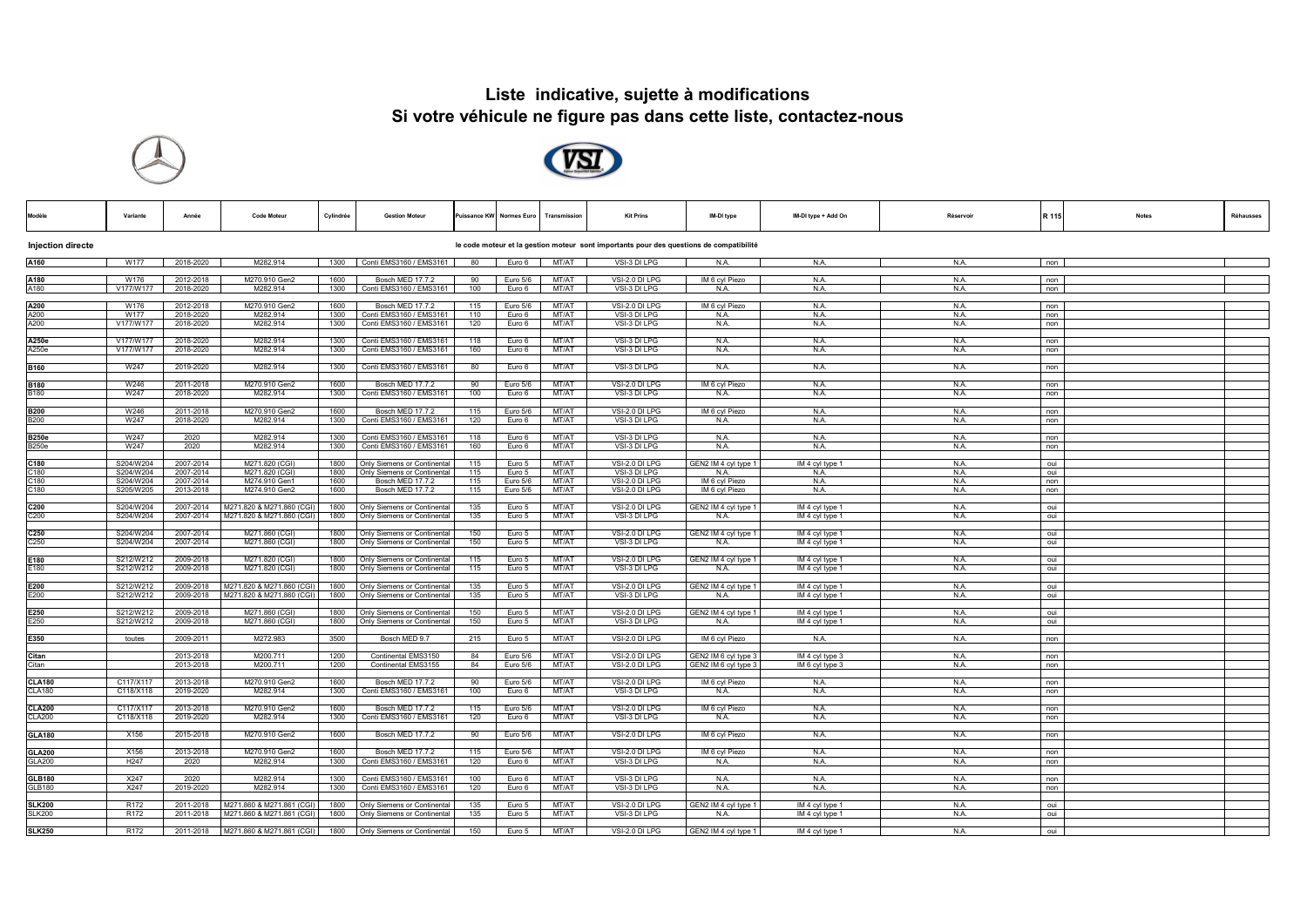## **Liste indicative, sujette à modifications Si votre véhicule ne figure pas dans cette liste, contactez-nous**





| Modèl                                                                                                               | Variante               | Année                  | <b>Code Moteur</b>                                     | Cylindrée    | <b>Gestion Moteur</b>                                      |            | uissance KW Normes Euro | Transmission   | <b>Kit Prins</b>                 | IM-DI type                                   | IM-DI type + Add On                | Réservoir    | R 115      | Réhausses<br><b>Notes</b> |
|---------------------------------------------------------------------------------------------------------------------|------------------------|------------------------|--------------------------------------------------------|--------------|------------------------------------------------------------|------------|-------------------------|----------------|----------------------------------|----------------------------------------------|------------------------------------|--------------|------------|---------------------------|
| <b>Injection directe</b><br>le code moteur et la gestion moteur sont importants pour des questions de compatibilité |                        |                        |                                                        |              |                                                            |            |                         |                |                                  |                                              |                                    |              |            |                           |
| A160                                                                                                                | W177                   | 2018-2020              | M282.914                                               |              | 1300 Conti EMS3160 / EMS3161                               | 80         | Euro 6                  | MT/AT          | VSI-3 DI LPG                     | N.A.                                         | N.A.                               | N.A.         | non        |                           |
| A180<br>A180                                                                                                        | W176<br>V177/W177      | 2012-2018<br>2018-2020 | M270.910 Gen2<br>M282.914                              | 1600<br>1300 | Bosch MED 17.7.2<br>Conti EMS3160 / EMS3161                | 90<br>100  | Euro 5/6<br>Euro 6      | MT/AT<br>MT/AT | VSI-2.0 DI LPG<br>VSI-3 DI LPG   | IM 6 cyl Piezo<br>N.A.                       | N.A.<br>N.A.                       | N.A.<br>N.A. | non<br>non |                           |
| A200<br>A200                                                                                                        | W176                   | 2012-2018              | M270.910 Gen2                                          | 1600         | Bosch MED 17.7.2                                           | 115        | Euro 5/6                | MT/AT          | VSI-2.0 DI LPG                   | IM 6 cyl Piezo                               | N.A.                               | N.A.         | non        |                           |
| A200                                                                                                                | W177<br>V177/W177      | 2018-2020<br>2018-2020 | M282.914<br>M282.914                                   | 1300<br>1300 | Conti EMS3160 / EMS3161<br>Conti EMS3160 / EMS3161         | 110<br>120 | Euro 6<br>Euro 6        | MT/AT<br>MT/AT | VSI-3 DI LPG<br>VSI-3 DI LPG     | N.A.<br>N.A.                                 | N.A.<br>N.A.                       | N.A.<br>N.A. | non<br>non |                           |
| A250e                                                                                                               | V177/W177              | 2018-2020              | M282.914                                               | 1300         | Conti EMS3160 / EMS3161                                    | 118        | Euro 6                  | MT/AT          | VSI-3 DI LPG                     | N.A.                                         | N.A.                               | N.A.         | non        |                           |
| A250e                                                                                                               | V177/W177              | 2018-2020              | M282.914                                               | 1300         | Conti EMS3160 / EMS3161                                    | 160        | Euro 6                  | MT/AT          | VSI-3 DI LPG                     | N.A.                                         | N.A.                               | N.A.         | non        |                           |
| <b>B160</b>                                                                                                         | W247                   | 2019-2020              | M282.914                                               | 1300         | Conti EMS3160 / EMS3161                                    | 80         | Euro 6                  | MT/AT          | VSI-3 DI LPG                     | N.A.                                         | N.A.                               | N.A.         | non        |                           |
| <b>B180</b>                                                                                                         | W246                   | 2011-2018              | M270.910 Gen2                                          | 1600         | Bosch MED 17.7.2                                           | 90         | Euro 5/6                | MT/AT          | VSI-2.0 DI LPG                   | IM 6 cyl Piezo                               | N.A.                               | <b>N.A.</b>  | non        |                           |
| <b>B180</b>                                                                                                         | W247                   | 2018-2020              | M282.914                                               | 1300         | Conti EMS3160 / EMS3161                                    | 100        | Euro 6                  | MT/AT          | VSI-3 DI LPG                     | N.A.                                         | N.A.                               | N.A.         | non        |                           |
| <b>B200</b><br><b>B200</b>                                                                                          | W246<br>W247           | 2011-2018<br>2018-2020 | M270.910 Gen2<br>M282.914                              | 1600<br>1300 | Bosch MED 17.7.2<br>Conti EMS3160 / EMS3161                | 115<br>120 | Euro 5/6<br>Euro 6      | MT/AT<br>MT/AT | VSI-2.0 DI LPG<br>VSI-3 DI LPG   | IM 6 cyl Piezo<br>N.A.                       | N.A.<br>N.A.                       | N.A.<br>N.A. | non<br>non |                           |
|                                                                                                                     | W247                   | 2020                   | M282.914                                               |              | Conti EMS3160 / EMS3161                                    | 118        |                         | MT/AT          | VSI-3 DI LPG                     |                                              | N.A.                               |              |            |                           |
| <b>B250e</b><br><b>B250e</b>                                                                                        | W247                   | 2020                   | M282.914                                               | 1300<br>1300 | Conti EMS3160 / EMS3161                                    | 160        | Euro 6<br>Euro 6        | MT/AT          | VSI-3 DI LPG                     | N.A.<br>N.A.                                 | N.A.                               | N.A.<br>N.A. | non<br>non |                           |
| C180                                                                                                                | S204/W204              | 2007-2014              | M271.820 (CGI)                                         | 1800         | Only Siemens or Continental                                | 115        | Euro 5                  | MT/AT          | VSI-2.0 DI LPG                   | GEN2 IM 4 cyl type 1                         | IM 4 cyl type 1                    | N.A.         | oui        |                           |
| C180                                                                                                                | S204/W204              | 2007-2014              | M271.820 (CGI)                                         | 1800         | Only Siemens or Continental                                | 115        | Euro 5                  | MT/AT          | VSI-3 DI LPG                     | N.A.                                         | N.A.                               | N.A.         | oui        |                           |
| C180<br>C180                                                                                                        | S204/W204<br>S205/W205 | 2007-2014<br>2013-2018 | M274.910 Gen1<br>M274.910 Gen2                         | 1600<br>1600 | Bosch MED 17.7.2<br>Bosch MED 17.7.2                       | 115<br>115 | Euro 5/6<br>Euro 5/6    | MT/AT<br>MT/AT | VSI-2.0 DI LPG<br>VSI-2.0 DI LPG | IM 6 cyl Piezo<br>IM 6 cyl Piezo             | N.A.<br>N.A.                       | N.A.<br>N.A. | non<br>non |                           |
|                                                                                                                     |                        |                        |                                                        |              |                                                            |            |                         |                |                                  |                                              |                                    |              |            |                           |
| C200<br>C200                                                                                                        | S204/W204<br>S204/W204 | 2007-2014<br>2007-2014 | M271.820 & M271.860 (CGI)<br>M271.820 & M271.860 (CGI) | 1800<br>1800 | Only Siemens or Continental<br>Only Siemens or Continental | 135<br>135 | Euro 5<br>Euro 5        | MT/AT<br>MT/AT | VSI-2.0 DI LPG<br>VSI-3 DI LPG   | GEN2 IM 4 cyl type 1<br>N.A.                 | IM 4 cyl type 1<br>IM 4 cyl type 1 | N.A.<br>N.A. | oui<br>oui |                           |
|                                                                                                                     |                        |                        |                                                        |              |                                                            |            |                         |                |                                  |                                              |                                    |              |            |                           |
| C <sub>250</sub><br>C <sub>250</sub>                                                                                | S204/W204<br>S204/W204 | 2007-2014<br>2007-2014 | M271.860 (CGI)<br>M271.860 (CGI)                       | 1800<br>1800 | Only Siemens or Continental<br>Only Siemens or Continental | 150<br>150 | Euro 5<br>Euro 5        | MT/AT<br>MT/AT | VSI-2.0 DI LPG<br>VSI-3 DI LPG   | GEN2 IM 4 cyl type 1<br>N.A.                 | IM 4 cyl type 1<br>IM 4 cyl type 1 | N.A.<br>N.A. | oui<br>oui |                           |
| E180                                                                                                                | S212/W212              | 2009-2018              | M271.820 (CGI)                                         | 1800         | Only Siemens or Continental                                | 115        | Euro 5                  | MT/AT          | VSI-2.0 DI LPG                   |                                              | IM 4 cyl type 1                    | N.A.         |            |                           |
| E180                                                                                                                | S212/W212              | 2009-2018              | M271.820 (CGI)                                         | 1800         | Only Siemens or Continental                                | 115        | Euro 5                  | MT/AT          | VSI-3 DI LPG                     | GEN2 IM 4 cyl type 1<br>N.A.                 | IM 4 cyl type 1                    | N.A.         | oui<br>oui |                           |
| E200                                                                                                                | S212/W212              | 2009-2018              | M271.820 & M271.860 (CGI)                              | 1800         | Only Siemens or Continental                                | 135        | Euro 5                  | MT/AT          | VSI-2.0 DI LPG                   | GEN2 IM 4 cyl type 1                         | IM 4 cyl type 1                    | N.A.         | oui        |                           |
| E200                                                                                                                | S212/W212              | 2009-2018              | M271.820 & M271.860 (CGI)                              | 1800         | Only Siemens or Continental                                | 135        | Euro 5                  | MT/AT          | VSI-3 DI LPG                     | N.A.                                         | IM 4 cyl type 1                    | N.A.         | oui        |                           |
| E250                                                                                                                | S212/W212              | 2009-2018              | M271.860 (CGI)                                         | 1800         | Only Siemens or Continental                                | 150        | Euro 5                  | MT/AT          | VSI-2.0 DI LPG                   | GEN2 IM 4 cyl type 1                         | IM 4 cyl type 1                    | N.A.         | oui        |                           |
| E250                                                                                                                | S212/W212              | 2009-2018              | M271.860 (CGI)                                         | 1800         | Only Siemens or Continental                                | 150        | Euro 5                  | MT/AT          | VSI-3 DI LPG                     | N.A.                                         | IM 4 cyl type 1                    | N.A.         | oui        |                           |
| E350                                                                                                                | toutes                 | 2009-2011              | M272.983                                               | 3500         | Bosch MED 9.7                                              | 215        | Euro 5                  | MT/AT          | VSI-2.0 DI LPG                   | IM 6 cyl Piezo                               | N.A.                               | N.A.         | non        |                           |
|                                                                                                                     |                        |                        |                                                        |              |                                                            |            |                         |                |                                  |                                              |                                    |              |            |                           |
| Citan<br>Citan                                                                                                      |                        | 2013-2018<br>2013-2018 | M200.711<br>M200.711                                   | 1200<br>1200 | Continental EMS3150<br>Continental EMS3155                 | 84<br>84   | Euro 5/6<br>Euro 5/6    | MT/AT<br>MT/AT | VSI-2.0 DI LPG<br>VSI-2.0 DI LPG | GEN2 IM 6 cyl type 3<br>GEN2 IM 6 cyl type 3 | IM 4 cyl type 3<br>IM 6 cyl type 3 | N.A.<br>N.A. | non<br>non |                           |
|                                                                                                                     |                        |                        |                                                        |              |                                                            |            |                         |                |                                  |                                              |                                    |              |            |                           |
| <b>CLA180</b><br><b>CLA180</b>                                                                                      | C117/X117<br>C118/X118 | 2013-2018<br>2019-2020 | M270.910 Gen2<br>M282.914                              | 1600<br>1300 | Bosch MED 17.7.2<br>Conti EMS3160 / EMS3161                | 90<br>100  | Euro 5/6<br>Euro 6      | MT/AT<br>MT/AT | VSI-2.0 DI LPG<br>VSI-3 DI LPG   | IM 6 cyl Piezo<br>N.A.                       | N.A.<br>N.A.                       | N.A.<br>N.A. | non<br>non |                           |
| <b>CLA200</b>                                                                                                       | C117/X117              | 2013-2018              | M270.910 Gen2                                          | 1600         | Bosch MED 17.7.2                                           | 115        | Euro 5/6                | MT/AT          | VSI-2.0 DI LPG                   | IM 6 cyl Piezo                               | N.A.                               | N.A.         | non        |                           |
| <b>CLA200</b>                                                                                                       | C118/X118              | 2019-2020              | M282.914                                               | 1300         | Conti EMS3160 / EMS3161                                    | 120        | Euro 6                  | MT/AT          | VSI-3 DI LPG                     | N.A.                                         | N.A.                               | N.A.         | non        |                           |
| <b>GLA180</b>                                                                                                       | X156                   | 2015-2018              | M270.910 Gen2                                          | 1600         | Bosch MED 17.7.2                                           | 90         | Euro 5/6                | MT/AT          | VSI-2.0 DI LPG                   | IM 6 cyl Piezo                               | N.A.                               | N.A.         | non        |                           |
| <b>GLA200</b>                                                                                                       | X156                   |                        |                                                        | 1600         |                                                            |            |                         | MT/AT          |                                  |                                              |                                    |              |            |                           |
| <b>GLA200</b>                                                                                                       | H <sub>247</sub>       | 2013-2018<br>2020      | M270.910 Gen2<br>M282.914                              | 1300         | Bosch MED 17.7.2<br>Conti EMS3160 / EMS3161                | 115<br>120 | Euro 5/6<br>Euro 6      | MT/AT          | VSI-2.0 DI LPG<br>VSI-3 DI LPG   | IM 6 cyl Piezo<br>N.A.                       | N.A.<br>N.A.                       | N.A.<br>N.A. | non<br>non |                           |
| <b>GLB180</b>                                                                                                       | X247                   | 2020                   | M282.914                                               | 1300         | Conti EMS3160 / EMS3161                                    | 100        | Euro 6                  | MT/AT          | VSI-3 DI LPG                     | N.A.                                         | N.A.                               | N.A.         | non        |                           |
| GLB180                                                                                                              | X247                   | 2019-2020              | M282.914                                               | 1300         | Conti EMS3160 / EMS3161                                    | 120        | Euro 6                  | MT/AT          | VSI-3 DI LPG                     | N.A.                                         | N.A.                               | N.A.         | non        |                           |
| <b>SLK200</b>                                                                                                       | R <sub>172</sub>       | 2011-2018              | M271.860 & M271.861 (CGI)                              | 1800         | Only Siemens or Continental                                | 135        | Euro 5                  | MT/AT          | VSI-2.0 DI LPG                   | GEN2 IM 4 cyl type 1                         | IM 4 cyl type 1                    | N.A.         | oui        |                           |
| <b>SLK200</b>                                                                                                       | R <sub>172</sub>       | 2011-2018              | M271.860 & M271.861 (CGI)                              | 1800         | Only Siemens or Continental                                | 135        | Euro 5                  | MT/AT          | VSI-3 DI LPG                     | N.A.                                         | IM 4 cyl type 1                    | N.A.         | oui        |                           |
| <b>SLK250</b>                                                                                                       | R172                   | 2011-2018              | M271.860 & M271.861 (CGI)                              |              | 1800 Only Siemens or Continental                           | 150        | Euro 5                  | MT/AT          | VSI-2.0 DI LPG                   | GEN2 IM 4 cyl type 1                         | IM 4 cyl type 1                    | N.A.         | oui        |                           |